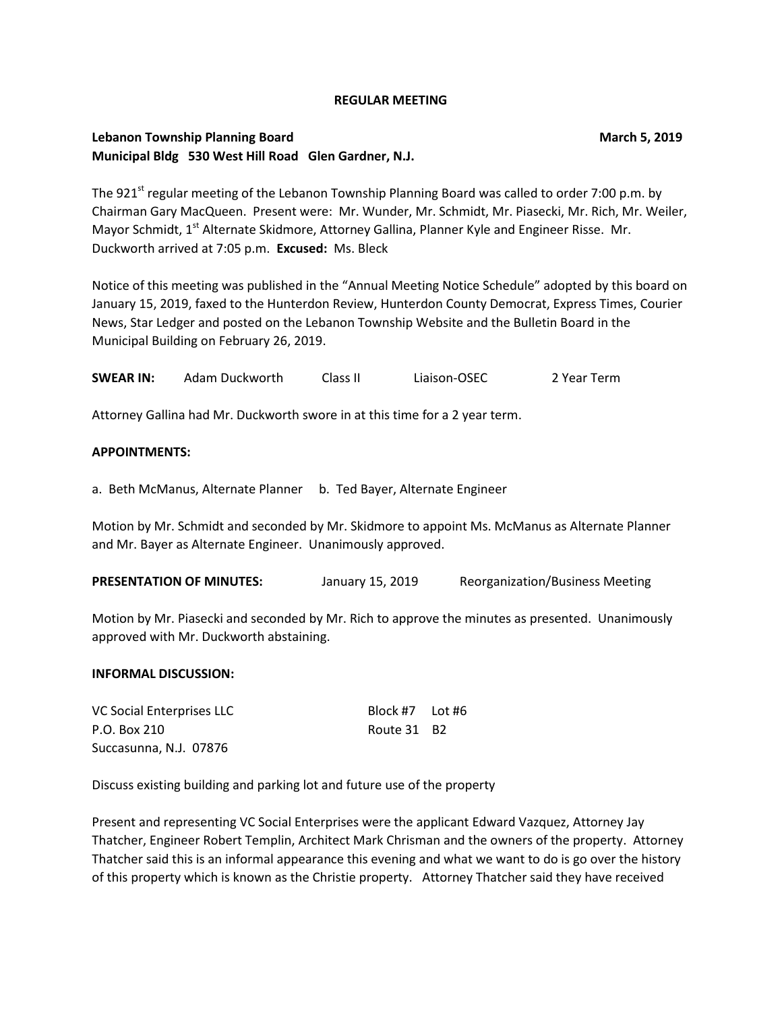#### **REGULAR MEETING**

### **Lebanon Township Planning Board March 5, 2019 Municipal Bldg 530 West Hill Road Glen Gardner, N.J.**

The 921 $^{\text{st}}$  regular meeting of the Lebanon Township Planning Board was called to order 7:00 p.m. by Chairman Gary MacQueen. Present were: Mr. Wunder, Mr. Schmidt, Mr. Piasecki, Mr. Rich, Mr. Weiler, Mayor Schmidt, 1<sup>st</sup> Alternate Skidmore, Attorney Gallina, Planner Kyle and Engineer Risse. Mr. Duckworth arrived at 7:05 p.m. **Excused:** Ms. Bleck

Notice of this meeting was published in the "Annual Meeting Notice Schedule" adopted by this board on January 15, 2019, faxed to the Hunterdon Review, Hunterdon County Democrat, Express Times, Courier News, Star Ledger and posted on the Lebanon Township Website and the Bulletin Board in the Municipal Building on February 26, 2019.

**SWEAR IN:** Adam Duckworth Class II Liaison-OSEC 2 Year Term

Attorney Gallina had Mr. Duckworth swore in at this time for a 2 year term.

#### **APPOINTMENTS:**

a. Beth McManus, Alternate Planner b. Ted Bayer, Alternate Engineer

Motion by Mr. Schmidt and seconded by Mr. Skidmore to appoint Ms. McManus as Alternate Planner and Mr. Bayer as Alternate Engineer. Unanimously approved.

**PRESENTATION OF MINUTES:** January 15, 2019 Reorganization/Business Meeting

Motion by Mr. Piasecki and seconded by Mr. Rich to approve the minutes as presented. Unanimously approved with Mr. Duckworth abstaining.

#### **INFORMAL DISCUSSION:**

| VC Social Enterprises LLC | Block #7 Lot #6 |  |
|---------------------------|-----------------|--|
| P.O. Box 210              | Route 31 B2     |  |
| Succasunna, N.J. 07876    |                 |  |

Discuss existing building and parking lot and future use of the property

Present and representing VC Social Enterprises were the applicant Edward Vazquez, Attorney Jay Thatcher, Engineer Robert Templin, Architect Mark Chrisman and the owners of the property. Attorney Thatcher said this is an informal appearance this evening and what we want to do is go over the history of this property which is known as the Christie property. Attorney Thatcher said they have received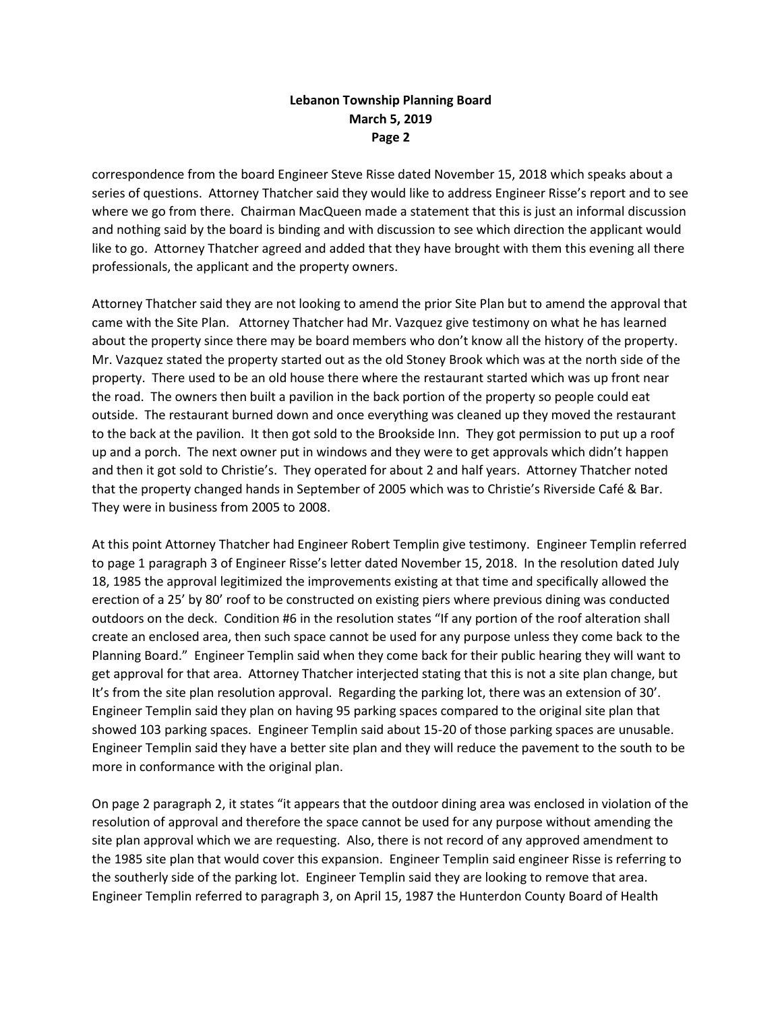correspondence from the board Engineer Steve Risse dated November 15, 2018 which speaks about a series of questions. Attorney Thatcher said they would like to address Engineer Risse's report and to see where we go from there. Chairman MacQueen made a statement that this is just an informal discussion and nothing said by the board is binding and with discussion to see which direction the applicant would like to go. Attorney Thatcher agreed and added that they have brought with them this evening all there professionals, the applicant and the property owners.

Attorney Thatcher said they are not looking to amend the prior Site Plan but to amend the approval that came with the Site Plan. Attorney Thatcher had Mr. Vazquez give testimony on what he has learned about the property since there may be board members who don't know all the history of the property. Mr. Vazquez stated the property started out as the old Stoney Brook which was at the north side of the property. There used to be an old house there where the restaurant started which was up front near the road. The owners then built a pavilion in the back portion of the property so people could eat outside. The restaurant burned down and once everything was cleaned up they moved the restaurant to the back at the pavilion. It then got sold to the Brookside Inn. They got permission to put up a roof up and a porch. The next owner put in windows and they were to get approvals which didn't happen and then it got sold to Christie's. They operated for about 2 and half years. Attorney Thatcher noted that the property changed hands in September of 2005 which was to Christie's Riverside Café & Bar. They were in business from 2005 to 2008.

At this point Attorney Thatcher had Engineer Robert Templin give testimony. Engineer Templin referred to page 1 paragraph 3 of Engineer Risse's letter dated November 15, 2018. In the resolution dated July 18, 1985 the approval legitimized the improvements existing at that time and specifically allowed the erection of a 25' by 80' roof to be constructed on existing piers where previous dining was conducted outdoors on the deck. Condition #6 in the resolution states "If any portion of the roof alteration shall create an enclosed area, then such space cannot be used for any purpose unless they come back to the Planning Board." Engineer Templin said when they come back for their public hearing they will want to get approval for that area. Attorney Thatcher interjected stating that this is not a site plan change, but It's from the site plan resolution approval. Regarding the parking lot, there was an extension of 30'. Engineer Templin said they plan on having 95 parking spaces compared to the original site plan that showed 103 parking spaces. Engineer Templin said about 15-20 of those parking spaces are unusable. Engineer Templin said they have a better site plan and they will reduce the pavement to the south to be more in conformance with the original plan.

On page 2 paragraph 2, it states "it appears that the outdoor dining area was enclosed in violation of the resolution of approval and therefore the space cannot be used for any purpose without amending the site plan approval which we are requesting. Also, there is not record of any approved amendment to the 1985 site plan that would cover this expansion. Engineer Templin said engineer Risse is referring to the southerly side of the parking lot. Engineer Templin said they are looking to remove that area. Engineer Templin referred to paragraph 3, on April 15, 1987 the Hunterdon County Board of Health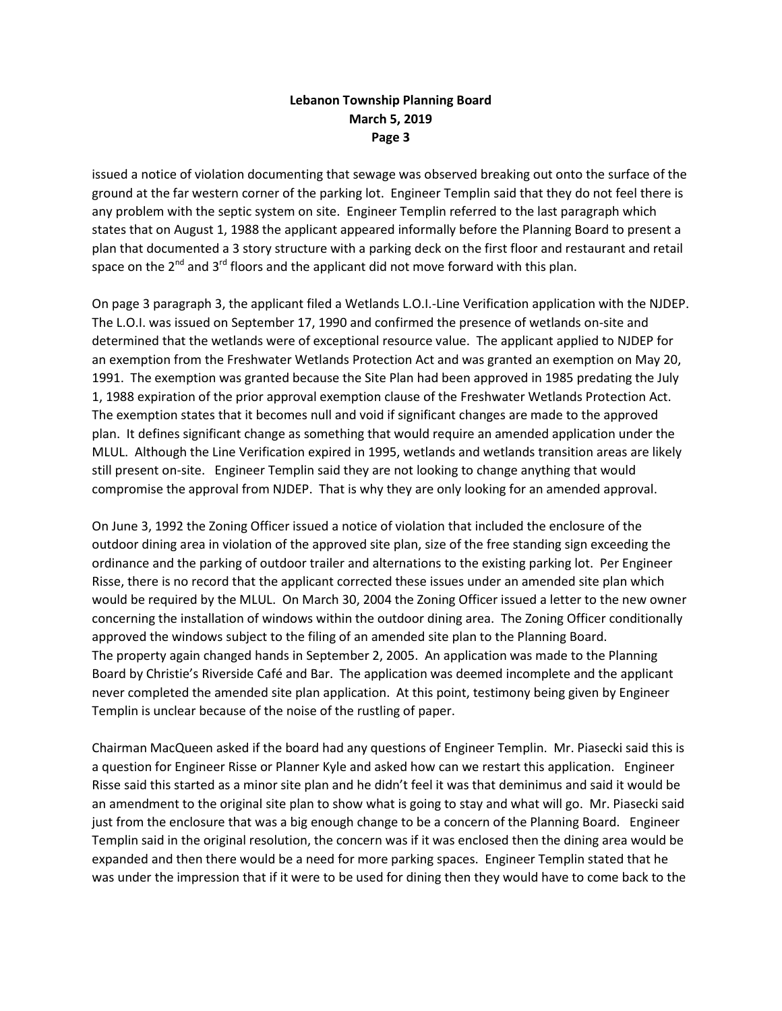issued a notice of violation documenting that sewage was observed breaking out onto the surface of the ground at the far western corner of the parking lot. Engineer Templin said that they do not feel there is any problem with the septic system on site. Engineer Templin referred to the last paragraph which states that on August 1, 1988 the applicant appeared informally before the Planning Board to present a plan that documented a 3 story structure with a parking deck on the first floor and restaurant and retail space on the  $2^{nd}$  and  $3^{rd}$  floors and the applicant did not move forward with this plan.

On page 3 paragraph 3, the applicant filed a Wetlands L.O.I.-Line Verification application with the NJDEP. The L.O.I. was issued on September 17, 1990 and confirmed the presence of wetlands on-site and determined that the wetlands were of exceptional resource value. The applicant applied to NJDEP for an exemption from the Freshwater Wetlands Protection Act and was granted an exemption on May 20, 1991. The exemption was granted because the Site Plan had been approved in 1985 predating the July 1, 1988 expiration of the prior approval exemption clause of the Freshwater Wetlands Protection Act. The exemption states that it becomes null and void if significant changes are made to the approved plan. It defines significant change as something that would require an amended application under the MLUL. Although the Line Verification expired in 1995, wetlands and wetlands transition areas are likely still present on-site. Engineer Templin said they are not looking to change anything that would compromise the approval from NJDEP. That is why they are only looking for an amended approval.

On June 3, 1992 the Zoning Officer issued a notice of violation that included the enclosure of the outdoor dining area in violation of the approved site plan, size of the free standing sign exceeding the ordinance and the parking of outdoor trailer and alternations to the existing parking lot. Per Engineer Risse, there is no record that the applicant corrected these issues under an amended site plan which would be required by the MLUL. On March 30, 2004 the Zoning Officer issued a letter to the new owner concerning the installation of windows within the outdoor dining area. The Zoning Officer conditionally approved the windows subject to the filing of an amended site plan to the Planning Board. The property again changed hands in September 2, 2005. An application was made to the Planning Board by Christie's Riverside Café and Bar. The application was deemed incomplete and the applicant never completed the amended site plan application. At this point, testimony being given by Engineer Templin is unclear because of the noise of the rustling of paper.

Chairman MacQueen asked if the board had any questions of Engineer Templin. Mr. Piasecki said this is a question for Engineer Risse or Planner Kyle and asked how can we restart this application. Engineer Risse said this started as a minor site plan and he didn't feel it was that deminimus and said it would be an amendment to the original site plan to show what is going to stay and what will go. Mr. Piasecki said just from the enclosure that was a big enough change to be a concern of the Planning Board. Engineer Templin said in the original resolution, the concern was if it was enclosed then the dining area would be expanded and then there would be a need for more parking spaces. Engineer Templin stated that he was under the impression that if it were to be used for dining then they would have to come back to the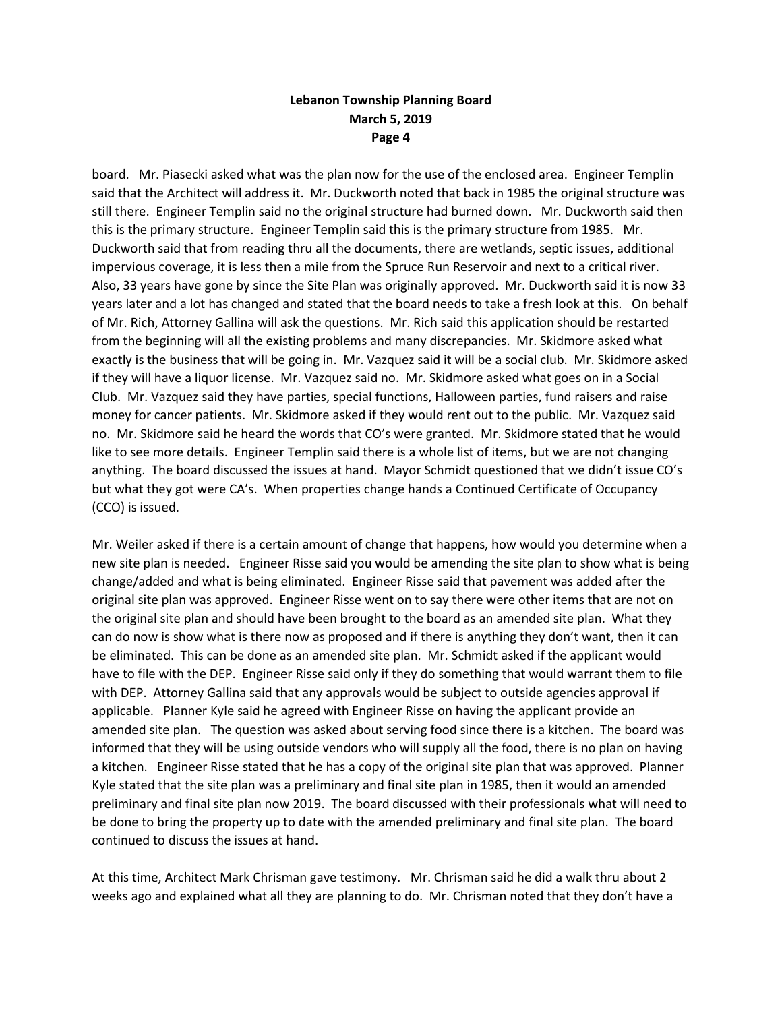board. Mr. Piasecki asked what was the plan now for the use of the enclosed area. Engineer Templin said that the Architect will address it. Mr. Duckworth noted that back in 1985 the original structure was still there. Engineer Templin said no the original structure had burned down. Mr. Duckworth said then this is the primary structure. Engineer Templin said this is the primary structure from 1985. Mr. Duckworth said that from reading thru all the documents, there are wetlands, septic issues, additional impervious coverage, it is less then a mile from the Spruce Run Reservoir and next to a critical river. Also, 33 years have gone by since the Site Plan was originally approved. Mr. Duckworth said it is now 33 years later and a lot has changed and stated that the board needs to take a fresh look at this. On behalf of Mr. Rich, Attorney Gallina will ask the questions. Mr. Rich said this application should be restarted from the beginning will all the existing problems and many discrepancies. Mr. Skidmore asked what exactly is the business that will be going in. Mr. Vazquez said it will be a social club. Mr. Skidmore asked if they will have a liquor license. Mr. Vazquez said no. Mr. Skidmore asked what goes on in a Social Club. Mr. Vazquez said they have parties, special functions, Halloween parties, fund raisers and raise money for cancer patients. Mr. Skidmore asked if they would rent out to the public. Mr. Vazquez said no. Mr. Skidmore said he heard the words that CO's were granted. Mr. Skidmore stated that he would like to see more details. Engineer Templin said there is a whole list of items, but we are not changing anything. The board discussed the issues at hand. Mayor Schmidt questioned that we didn't issue CO's but what they got were CA's. When properties change hands a Continued Certificate of Occupancy (CCO) is issued.

Mr. Weiler asked if there is a certain amount of change that happens, how would you determine when a new site plan is needed. Engineer Risse said you would be amending the site plan to show what is being change/added and what is being eliminated. Engineer Risse said that pavement was added after the original site plan was approved. Engineer Risse went on to say there were other items that are not on the original site plan and should have been brought to the board as an amended site plan. What they can do now is show what is there now as proposed and if there is anything they don't want, then it can be eliminated. This can be done as an amended site plan. Mr. Schmidt asked if the applicant would have to file with the DEP. Engineer Risse said only if they do something that would warrant them to file with DEP. Attorney Gallina said that any approvals would be subject to outside agencies approval if applicable. Planner Kyle said he agreed with Engineer Risse on having the applicant provide an amended site plan. The question was asked about serving food since there is a kitchen. The board was informed that they will be using outside vendors who will supply all the food, there is no plan on having a kitchen. Engineer Risse stated that he has a copy of the original site plan that was approved. Planner Kyle stated that the site plan was a preliminary and final site plan in 1985, then it would an amended preliminary and final site plan now 2019. The board discussed with their professionals what will need to be done to bring the property up to date with the amended preliminary and final site plan. The board continued to discuss the issues at hand.

At this time, Architect Mark Chrisman gave testimony. Mr. Chrisman said he did a walk thru about 2 weeks ago and explained what all they are planning to do. Mr. Chrisman noted that they don't have a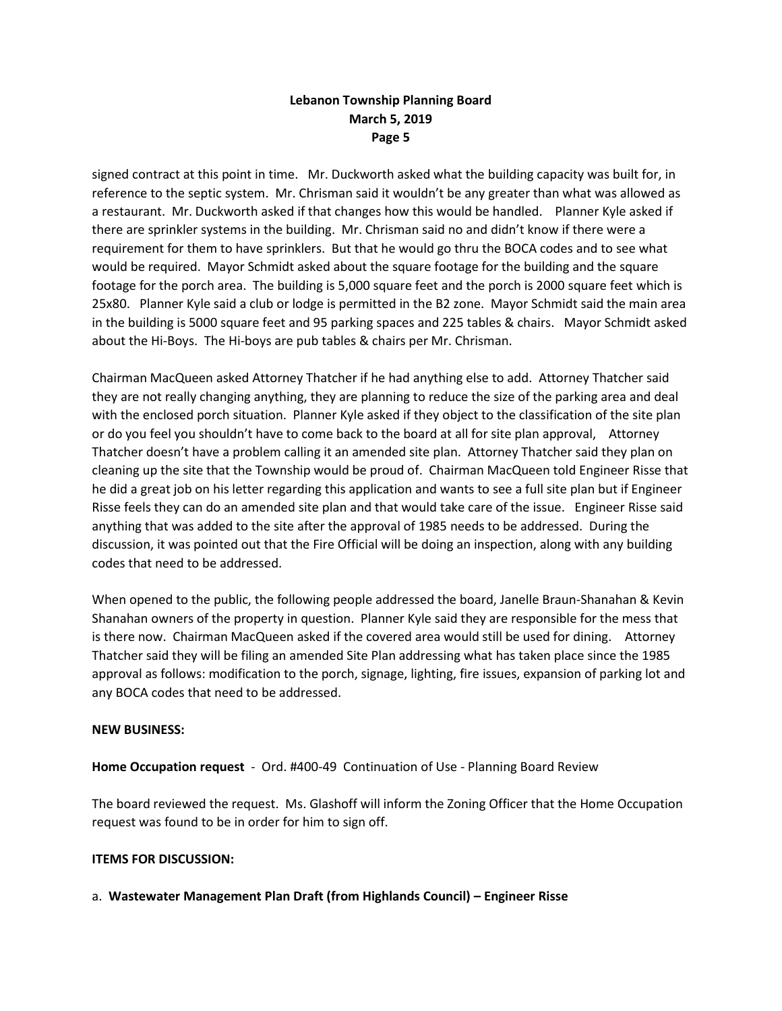signed contract at this point in time. Mr. Duckworth asked what the building capacity was built for, in reference to the septic system. Mr. Chrisman said it wouldn't be any greater than what was allowed as a restaurant. Mr. Duckworth asked if that changes how this would be handled. Planner Kyle asked if there are sprinkler systems in the building. Mr. Chrisman said no and didn't know if there were a requirement for them to have sprinklers. But that he would go thru the BOCA codes and to see what would be required. Mayor Schmidt asked about the square footage for the building and the square footage for the porch area. The building is 5,000 square feet and the porch is 2000 square feet which is 25x80. Planner Kyle said a club or lodge is permitted in the B2 zone. Mayor Schmidt said the main area in the building is 5000 square feet and 95 parking spaces and 225 tables & chairs. Mayor Schmidt asked about the Hi-Boys. The Hi-boys are pub tables & chairs per Mr. Chrisman.

Chairman MacQueen asked Attorney Thatcher if he had anything else to add. Attorney Thatcher said they are not really changing anything, they are planning to reduce the size of the parking area and deal with the enclosed porch situation. Planner Kyle asked if they object to the classification of the site plan or do you feel you shouldn't have to come back to the board at all for site plan approval, Attorney Thatcher doesn't have a problem calling it an amended site plan. Attorney Thatcher said they plan on cleaning up the site that the Township would be proud of. Chairman MacQueen told Engineer Risse that he did a great job on his letter regarding this application and wants to see a full site plan but if Engineer Risse feels they can do an amended site plan and that would take care of the issue. Engineer Risse said anything that was added to the site after the approval of 1985 needs to be addressed. During the discussion, it was pointed out that the Fire Official will be doing an inspection, along with any building codes that need to be addressed.

When opened to the public, the following people addressed the board, Janelle Braun-Shanahan & Kevin Shanahan owners of the property in question. Planner Kyle said they are responsible for the mess that is there now. Chairman MacQueen asked if the covered area would still be used for dining. Attorney Thatcher said they will be filing an amended Site Plan addressing what has taken place since the 1985 approval as follows: modification to the porch, signage, lighting, fire issues, expansion of parking lot and any BOCA codes that need to be addressed.

### **NEW BUSINESS:**

**Home Occupation request** - Ord. #400-49 Continuation of Use - Planning Board Review

The board reviewed the request. Ms. Glashoff will inform the Zoning Officer that the Home Occupation request was found to be in order for him to sign off.

### **ITEMS FOR DISCUSSION:**

a. **Wastewater Management Plan Draft (from Highlands Council) – Engineer Risse**